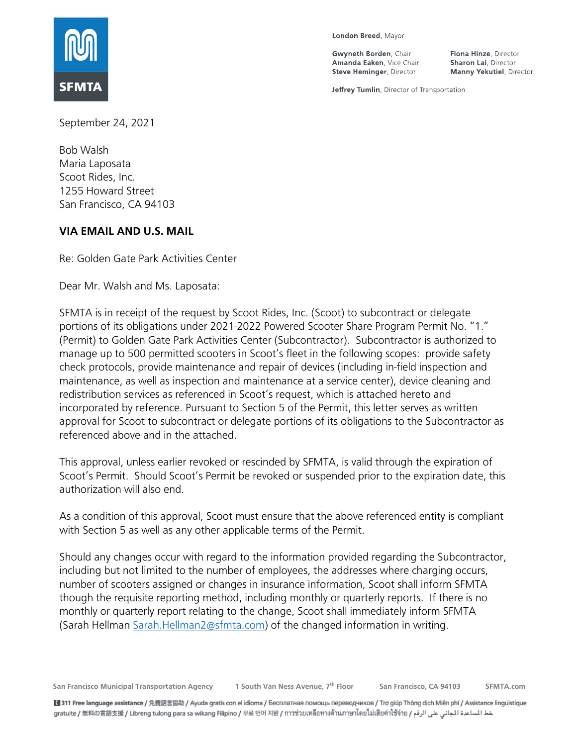

London Breed, Mayor

Gwyneth Borden, Chair Amanda Eaken, Vice Chair **Steve Heminger, Director** 

Fiona Hinze, Director Sharon Lai, Director **Manny Yekutiel**, Director

Jeffrey Tumlin, Director of Transportation

September 24, 2021

Bob Walsh Maria Laposata Scoot Rides, Inc. 1255 Howard Street San Francisco, CA 94103

### **VIA EMAIL AND U.S. MAIL**

Re: Golden Gate Park Activities Center

Dear Mr. Walsh and Ms. Laposata:

SFMTA is in receipt of the request by Scoot Rides, Inc. (Scoot) to subcontract or delegate portions of its obligations under 2021-2022 Powered Scooter Share Program Permit No. "1." (Permit) to Golden Gate Park Activities Center (Subcontractor). Subcontractor is authorized to manage up to 500 permitted scooters in Scoot's fleet in the following scopes: provide safety check protocols, provide maintenance and repair of devices (including in-field inspection and maintenance, as well as inspection and maintenance at a service center), device cleaning and redistribution services as referenced in Scoot's request, which is attached hereto and incorporated by reference. Pursuant to Section 5 of the Permit, this letter serves as written approval for Scoot to subcontract or delegate portions of its obligations to the Subcontractor as referenced above and in the attached.

This approval, unless earlier revoked or rescinded by SFMTA, is valid through the expiration of Scoot's Permit. Should Scoot's Permit be revoked or suspended prior to the expiration date, this authorization will also end.

As a condition of this approval, Scoot must ensure that the above referenced entity is compliant with Section 5 as well as any other applicable terms of the Permit.

Should any changes occur with regard to the information provided regarding the Subcontractor, including but not limited to the number of employees, the addresses where charging occurs, number of scooters assigned or changes in insurance information, Scoot shall inform SFMTA though the requisite reporting method, including monthly or quarterly reports. If there is no monthly or quarterly report relating to the change, Scoot shall immediately inform SFMTA (Sarah Hellma[n Sarah.Hellman2@sfmta.com\)](mailto:Sarah.Hellman2@sfmta.com) of the changed information in writing.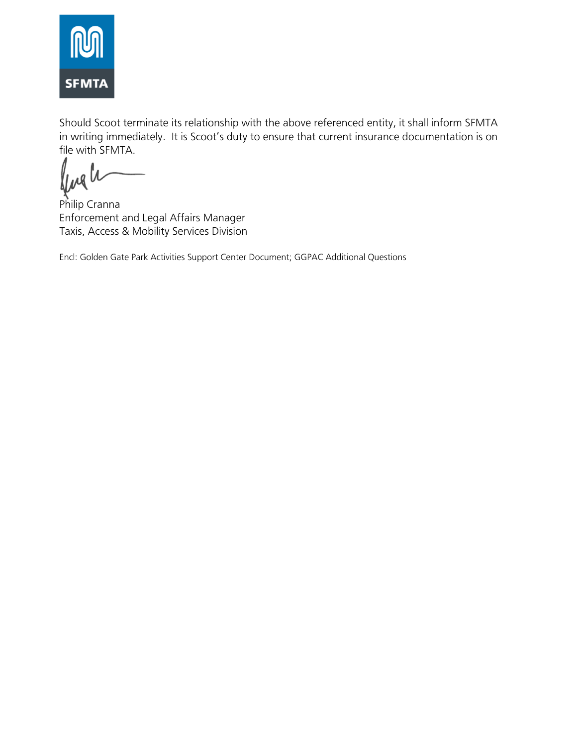

Should Scoot terminate its relationship with the above referenced entity, it shall inform SFMTA in writing immediately. It is Scoot's duty to ensure that current insurance documentation is on file with SFMTA.

fugh

Philip Cranna Enforcement and Legal Affairs Manager Taxis, Access & Mobility Services Division

Encl: Golden Gate Park Activities Support Center Document; GGPAC Additional Questions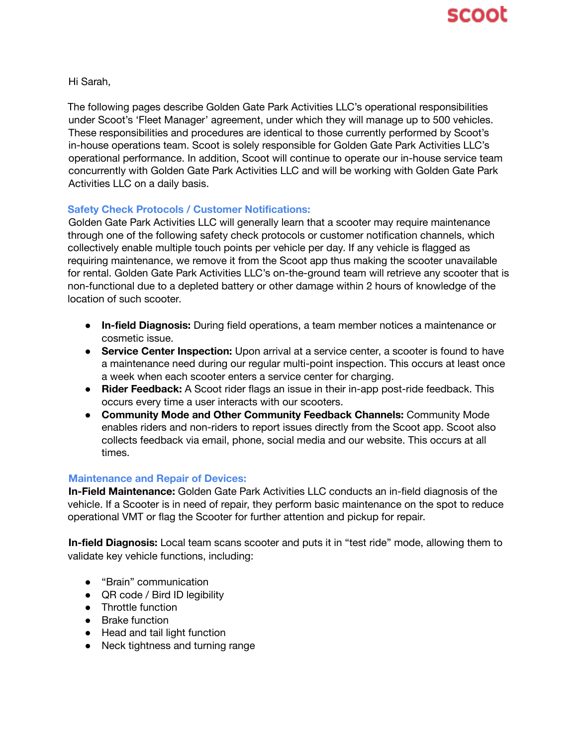Hi Sarah,

The following pages describe Golden Gate Park Activities LLC's operational responsibilities under Scoot's 'Fleet Manager' agreement, under which they will manage up to 500 vehicles. These responsibilities and procedures are identical to those currently performed by Scoot's in-house operations team. Scoot is solely responsible for Golden Gate Park Activities LLC's operational performance. In addition, Scoot will continue to operate our in-house service team concurrently with Golden Gate Park Activities LLC and will be working with Golden Gate Park Activities LLC on a daily basis.

### **Safety Check Protocols / Customer Notifications:**

Golden Gate Park Activities LLC will generally learn that a scooter may require maintenance through one of the following safety check protocols or customer notification channels, which collectively enable multiple touch points per vehicle per day. If any vehicle is flagged as requiring maintenance, we remove it from the Scoot app thus making the scooter unavailable for rental. Golden Gate Park Activities LLC's on-the-ground team will retrieve any scooter that is non-functional due to a depleted battery or other damage within 2 hours of knowledge of the location of such scooter.

- **In-field Diagnosis:** During field operations, a team member notices a maintenance or cosmetic issue.
- **Service Center Inspection:** Upon arrival at a service center, a scooter is found to have a maintenance need during our regular multi-point inspection. This occurs at least once a week when each scooter enters a service center for charging.
- **Rider Feedback:** A Scoot rider flags an issue in their in-app post-ride feedback. This occurs every time a user interacts with our scooters.
- **Community Mode and Other Community Feedback Channels:** Community Mode enables riders and non-riders to report issues directly from the Scoot app. Scoot also collects feedback via email, phone, social media and our website. This occurs at all times.

#### **Maintenance and Repair of Devices:**

**In-Field Maintenance:** Golden Gate Park Activities LLC conducts an in-field diagnosis of the vehicle. If a Scooter is in need of repair, they perform basic maintenance on the spot to reduce operational VMT or flag the Scooter for further attention and pickup for repair.

**In-field Diagnosis:** Local team scans scooter and puts it in "test ride" mode, allowing them to validate key vehicle functions, including:

- "Brain" communication
- QR code / Bird ID legibility
- Throttle function
- Brake function
- Head and tail light function
- Neck tightness and turning range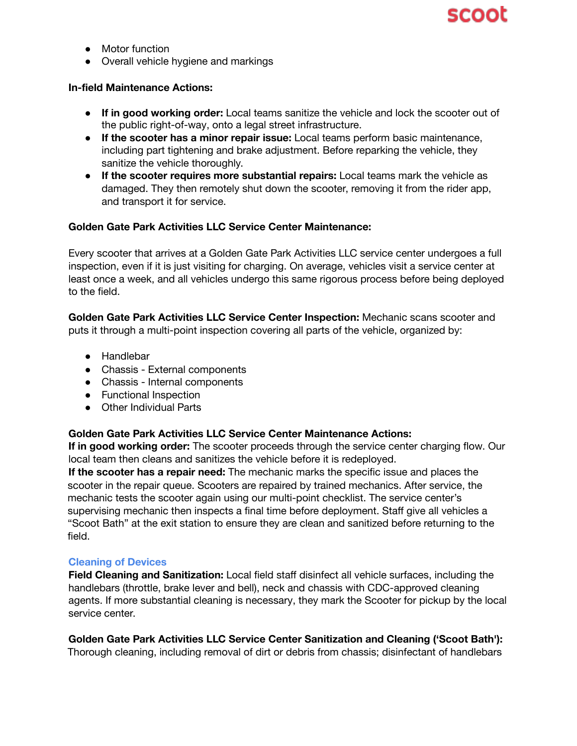

- Motor function
- Overall vehicle hygiene and markings

#### **In-field Maintenance Actions:**

- **If in good working order:** Local teams sanitize the vehicle and lock the scooter out of the public right-of-way, onto a legal street infrastructure.
- **If the scooter has a minor repair issue:** Local teams perform basic maintenance, including part tightening and brake adjustment. Before reparking the vehicle, they sanitize the vehicle thoroughly.
- **If the scooter requires more substantial repairs:** Local teams mark the vehicle as damaged. They then remotely shut down the scooter, removing it from the rider app, and transport it for service.

#### **Golden Gate Park Activities LLC Service Center Maintenance:**

Every scooter that arrives at a Golden Gate Park Activities LLC service center undergoes a full inspection, even if it is just visiting for charging. On average, vehicles visit a service center at least once a week, and all vehicles undergo this same rigorous process before being deployed to the field.

**Golden Gate Park Activities LLC Service Center Inspection:** Mechanic scans scooter and puts it through a multi-point inspection covering all parts of the vehicle, organized by:

- Handlebar
- Chassis External components
- Chassis Internal components
- Functional Inspection
- Other Individual Parts

#### **Golden Gate Park Activities LLC Service Center Maintenance Actions:**

**If in good working order:** The scooter proceeds through the service center charging flow. Our local team then cleans and sanitizes the vehicle before it is redeployed.

**If the scooter has a repair need:** The mechanic marks the specific issue and places the scooter in the repair queue. Scooters are repaired by trained mechanics. After service, the mechanic tests the scooter again using our multi-point checklist. The service center's supervising mechanic then inspects a final time before deployment. Staff give all vehicles a "Scoot Bath" at the exit station to ensure they are clean and sanitized before returning to the field.

#### **Cleaning of Devices**

**Field Cleaning and Sanitization:** Local field staff disinfect all vehicle surfaces, including the handlebars (throttle, brake lever and bell), neck and chassis with CDC-approved cleaning agents. If more substantial cleaning is necessary, they mark the Scooter for pickup by the local service center.

**Golden Gate Park Activities LLC Service Center Sanitization and Cleaning ('Scoot Bath'):** Thorough cleaning, including removal of dirt or debris from chassis; disinfectant of handlebars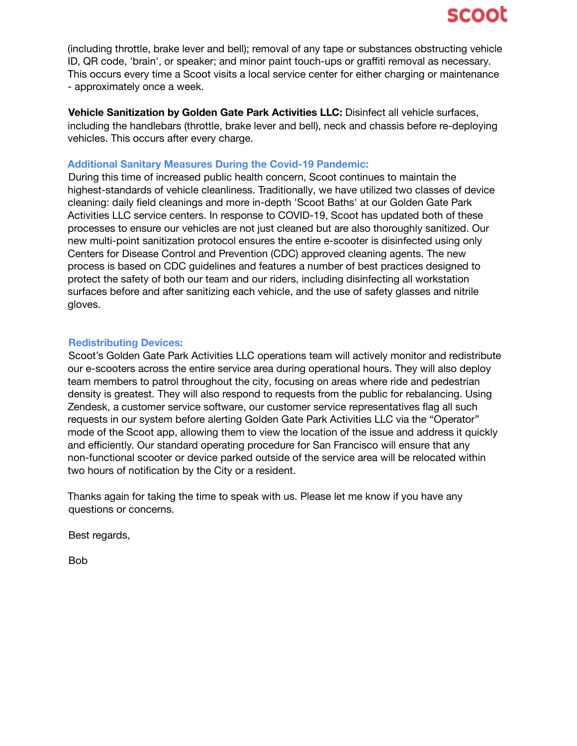(including throttle, brake lever and bell); removal of any tape or substances obstructing vehicle ID, QR code, 'brain', or speaker; and minor paint touch-ups or graffiti removal as necessary. This occurs every time a Scoot visits a local service center for either charging or maintenance - approximately once a week.

**Vehicle Sanitization by Golden Gate Park Activities LLC:** Disinfect all vehicle surfaces, including the handlebars (throttle, brake lever and bell), neck and chassis before re-deploying vehicles. This occurs after every charge.

#### **Additional Sanitary Measures During the Covid-19 Pandemic:**

During this time of increased public health concern, Scoot continues to maintain the highest-standards of vehicle cleanliness. Traditionally, we have utilized two classes of device cleaning: daily field cleanings and more in-depth 'Scoot Baths' at our Golden Gate Park Activities LLC service centers. In response to COVID-19, Scoot has updated both of these processes to ensure our vehicles are not just cleaned but are also thoroughly sanitized. Our new multi-point sanitization protocol ensures the entire e-scooter is disinfected using only Centers for Disease Control and Prevention (CDC) approved cleaning agents. The new process is based on CDC guidelines and features a number of best practices designed to protect the safety of both our team and our riders, including disinfecting all workstation surfaces before and after sanitizing each vehicle, and the use of safety glasses and nitrile gloves.

#### **Redistributing Devices:**

Scoot's Golden Gate Park Activities LLC operations team will actively monitor and redistribute our e-scooters across the entire service area during operational hours. They will also deploy team members to patrol throughout the city, focusing on areas where ride and pedestrian density is greatest. They will also respond to requests from the public for rebalancing. Using Zendesk, a customer service software, our customer service representatives flag all such requests in our system before alerting Golden Gate Park Activities LLC via the "Operator" mode of the Scoot app, allowing them to view the location of the issue and address it quickly and efficiently. Our standard operating procedure for San Francisco will ensure that any non-functional scooter or device parked outside of the service area will be relocated within two hours of notification by the City or a resident.

Thanks again for taking the time to speak with us. Please let me know if you have any questions or concerns.

Best regards,

Bob